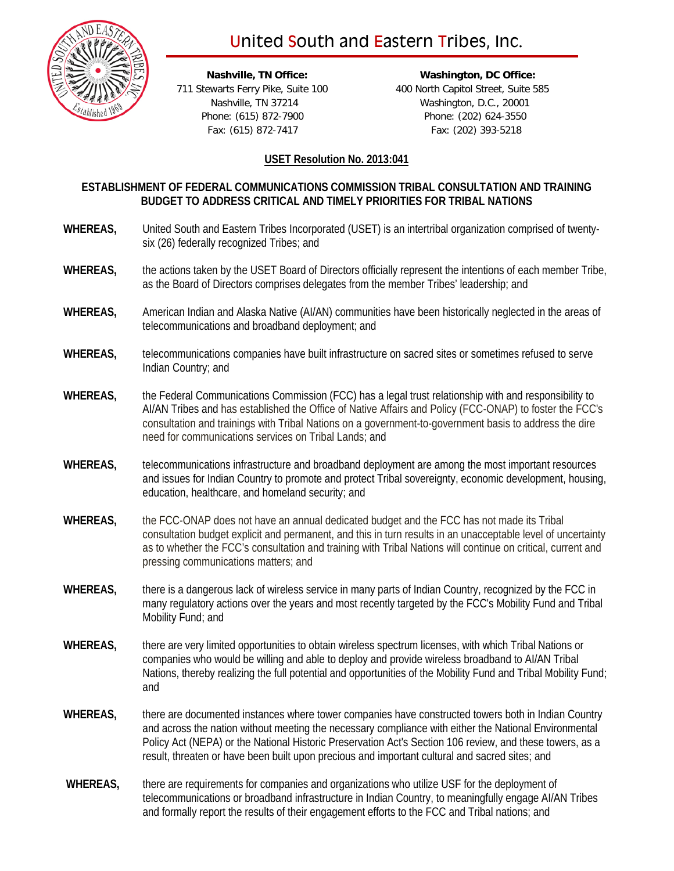## United South and Eastern Tribes, Inc.



 **Nashville, TN Office: Washington, DC Office:** 711 Stewarts Ferry Pike, Suite 100 400 North Capitol Street, Suite 585 Nashville, TN 37214 Washington, D.C., 20001 Phone: (615) 872-7900 Phone: (202) 624-3550 Fax: (615) 872-7417 Fax: (202) 393-5218

## **USET Resolution No. 2013:041**

## **ESTABLISHMENT OF FEDERAL COMMUNICATIONS COMMISSION TRIBAL CONSULTATION AND TRAINING BUDGET TO ADDRESS CRITICAL AND TIMELY PRIORITIES FOR TRIBAL NATIONS**

- **WHEREAS,** United South and Eastern Tribes Incorporated (USET) is an intertribal organization comprised of twentysix (26) federally recognized Tribes; and
- **WHEREAS,** the actions taken by the USET Board of Directors officially represent the intentions of each member Tribe, as the Board of Directors comprises delegates from the member Tribes' leadership; and
- **WHEREAS,** American Indian and Alaska Native (AI/AN) communities have been historically neglected in the areas of telecommunications and broadband deployment; and
- **WHEREAS,** telecommunications companies have built infrastructure on sacred sites or sometimes refused to serve Indian Country; and
- **WHEREAS,** the Federal Communications Commission (FCC) has a legal trust relationship with and responsibility to AI/AN Tribes and has established the Office of Native Affairs and Policy (FCC-ONAP) to foster the FCC's consultation and trainings with Tribal Nations on a government-to-government basis to address the dire need for communications services on Tribal Lands; and
- **WHEREAS,** telecommunications infrastructure and broadband deployment are among the most important resources and issues for Indian Country to promote and protect Tribal sovereignty, economic development, housing, education, healthcare, and homeland security; and
- **WHEREAS,** the FCC-ONAP does not have an annual dedicated budget and the FCC has not made its Tribal consultation budget explicit and permanent, and this in turn results in an unacceptable level of uncertainty as to whether the FCC's consultation and training with Tribal Nations will continue on critical, current and pressing communications matters; and
- **WHEREAS,** there is a dangerous lack of wireless service in many parts of Indian Country, recognized by the FCC in many regulatory actions over the years and most recently targeted by the FCC's Mobility Fund and Tribal Mobility Fund; and
- **WHEREAS,** there are very limited opportunities to obtain wireless spectrum licenses, with which Tribal Nations or companies who would be willing and able to deploy and provide wireless broadband to AI/AN Tribal Nations, thereby realizing the full potential and opportunities of the Mobility Fund and Tribal Mobility Fund; and
- **WHEREAS,** there are documented instances where tower companies have constructed towers both in Indian Country and across the nation without meeting the necessary compliance with either the National Environmental Policy Act (NEPA) or the National Historic Preservation Act's Section 106 review, and these towers, as a result, threaten or have been built upon precious and important cultural and sacred sites; and
- **WHEREAS,** there are requirements for companies and organizations who utilize USF for the deployment of telecommunications or broadband infrastructure in Indian Country, to meaningfully engage AI/AN Tribes and formally report the results of their engagement efforts to the FCC and Tribal nations; and